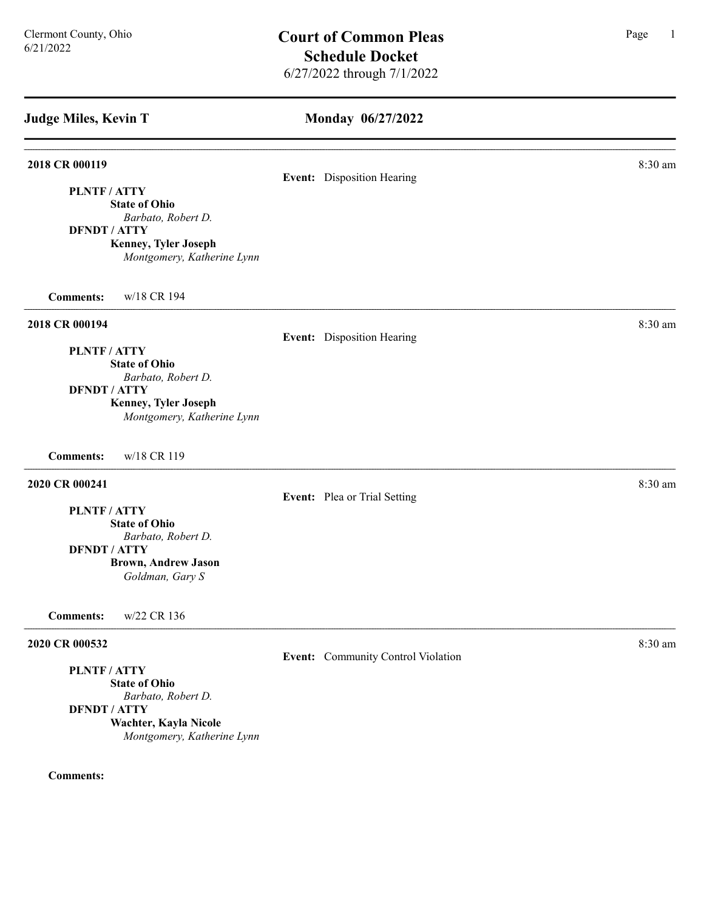#### Monday 06/27/2022

#### **2018 CR 000119** 8:30 am **8:30 am**

### Event: Disposition Hearing

PLNTF / ATTY State of Ohio

Barbato, Robert D.

DFNDT / ATTY

Kenney, Tyler Joseph Montgomery, Katherine Lynn

Comments: w/18 CR 194

#### 2018 CR 000194 8:30 am

### Event: Disposition Hearing

PLNTF / ATTY State of Ohio

Barbato, Robert D.

### DFNDT / ATTY

Kenney, Tyler Joseph Montgomery, Katherine Lynn

Comments: w/18 CR 119

### **2020 CR 000241** 8:30 am **8:30 am**

Event: Plea or Trial Setting

PLNTF / ATTY

State of Ohio Barbato, Robert D.

DFNDT / ATTY

Brown, Andrew Jason

Goldman, Gary S

Comments: w/22 CR 136

#### **2020 CR 000532** 8:30 am **8.2020 8:30 am**

PLNTF / ATTY

State of Ohio Barbato, Robert D. DFNDT / ATTY Wachter, Kayla Nicole Montgomery, Katherine Lynn

#### Comments:

Event: Community Control Violation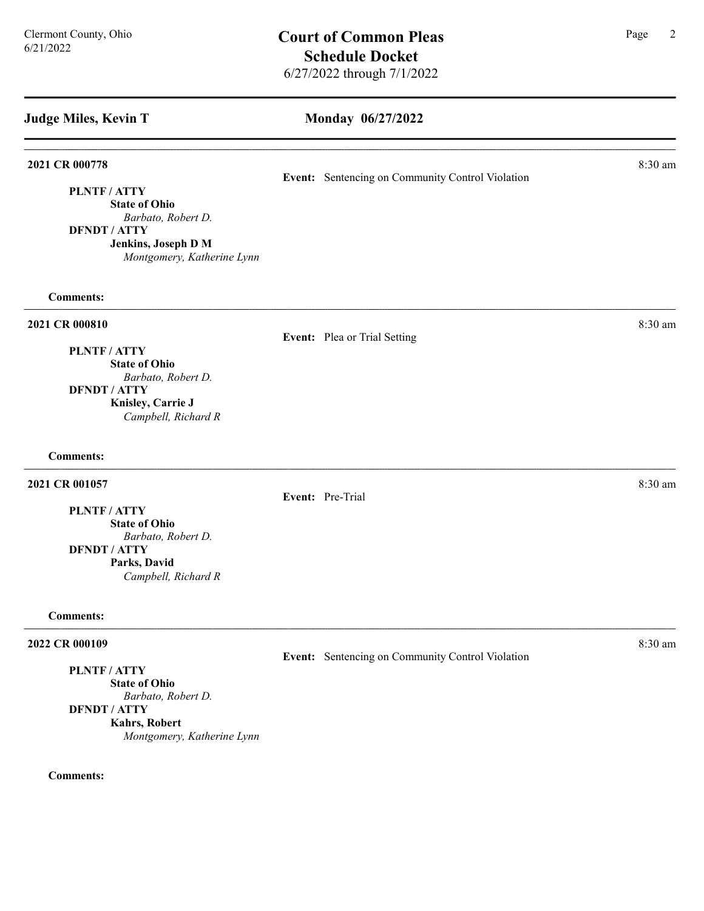#### Monday 06/27/2022

#### **2021 CR 000778** 8:30 am **8.30 am**

PLNTF / ATTY

State of Ohio Barbato, Robert D.

DFNDT / ATTY

Jenkins, Joseph D M Montgomery, Katherine Lynn

Comments:

#### **2021 CR 000810** 8:30 am **8.30 am**

#### Event: Plea or Trial Setting

Event: Pre-Trial

PLNTF / ATTY State of Ohio Barbato, Robert D. DFNDT / ATTY Knisley, Carrie J Campbell, Richard R

#### Comments:

#### 2021 CR 001057 8:30 am 2021 CR 001057

PLNTF / ATTY

State of Ohio Barbato, Robert D. DFNDT / ATTY Parks, David Campbell, Richard R

#### Comments:

#### **2022 CR 000109** 8:30 am **8:30 am**

PLNTF / ATTY

State of Ohio Barbato, Robert D. DFNDT / ATTY Kahrs, Robert Montgomery, Katherine Lynn

Comments:

Event: Sentencing on Community Control Violation

Event: Sentencing on Community Control Violation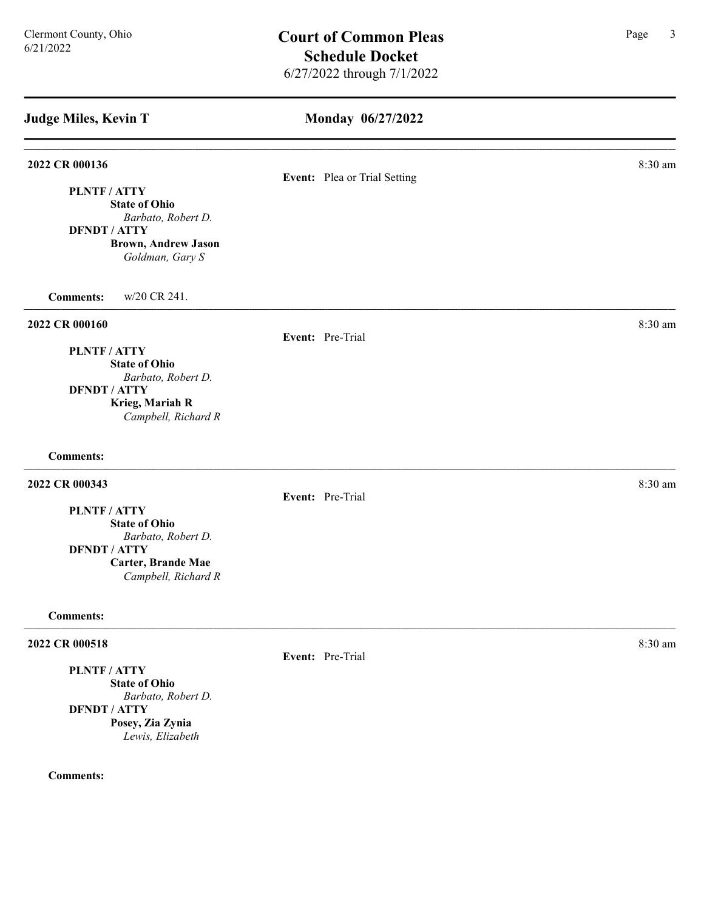# Monday 06/27/2022 Judge Miles, Kevin T 2022 CR 000136 8:30 am **8** Event: Plea or Trial Setting PLNTF / ATTY State of Ohio Barbato, Robert D. DFNDT / ATTY Brown, Andrew Jason Goldman, Gary S Comments: w/20 CR 241. **2022 CR 000160** 8:30 am **8:30 am** Event: Pre-Trial PLNTF / ATTY State of Ohio Barbato, Robert D. DFNDT / ATTY Krieg, Mariah R Campbell, Richard R Comments: 2022 CR 000343 8:30 am Event: Pre-Trial PLNTF / ATTY State of Ohio Barbato, Robert D. DFNDT / ATTY Carter, Brande Mae Campbell, Richard R Comments: **2022 CR 000518** 8:30 am **8:30 am** Event: Pre-Trial PLNTF / ATTY State of Ohio Barbato, Robert D. DFNDT / ATTY Posey, Zia Zynia Lewis, Elizabeth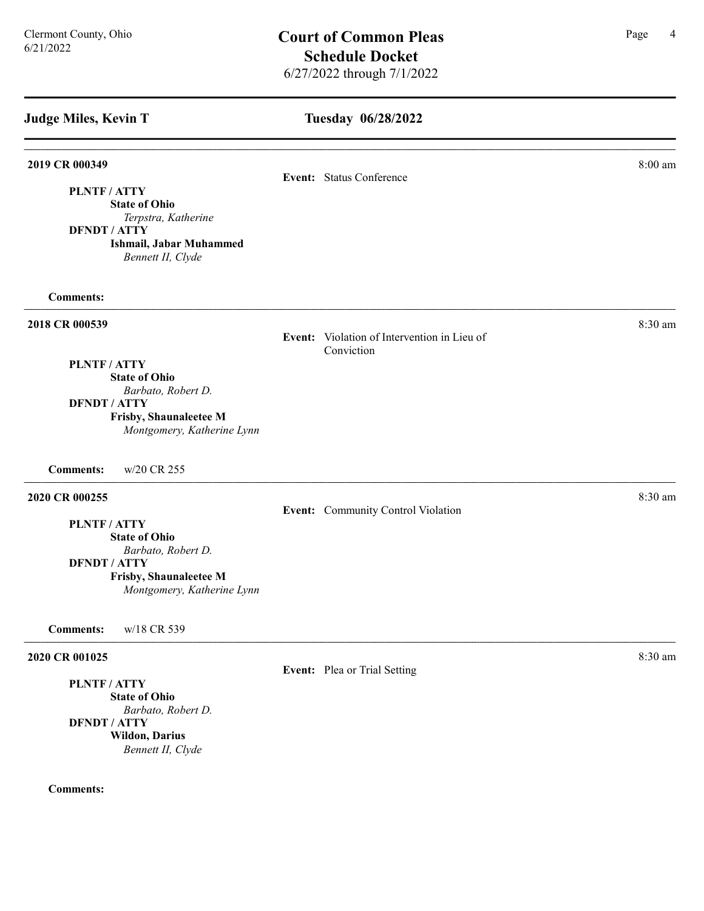## Tuesday 06/28/2022

| 2019 CR 000349                             | Event: Status Conference                                  | 8:00 am |
|--------------------------------------------|-----------------------------------------------------------|---------|
| <b>PLNTF/ATTY</b>                          |                                                           |         |
| <b>State of Ohio</b>                       |                                                           |         |
| Terpstra, Katherine<br><b>DFNDT / ATTY</b> |                                                           |         |
| Ishmail, Jabar Muhammed                    |                                                           |         |
| Bennett II, Clyde                          |                                                           |         |
| <b>Comments:</b>                           |                                                           |         |
| 2018 CR 000539                             |                                                           | 8:30 am |
|                                            | Event: Violation of Intervention in Lieu of<br>Conviction |         |
| PLNTF / ATTY                               |                                                           |         |
| <b>State of Ohio</b>                       |                                                           |         |
| Barbato, Robert D.<br><b>DFNDT / ATTY</b>  |                                                           |         |
| Frisby, Shaunaleetee M                     |                                                           |         |
| Montgomery, Katherine Lynn                 |                                                           |         |
| w/20 CR 255<br><b>Comments:</b>            |                                                           |         |
| 2020 CR 000255                             |                                                           | 8:30 am |
|                                            | Event: Community Control Violation                        |         |
| PLNTF / ATTY<br><b>State of Ohio</b>       |                                                           |         |
| Barbato, Robert D.                         |                                                           |         |
| <b>DFNDT / ATTY</b>                        |                                                           |         |
| Frisby, Shaunaleetee M                     |                                                           |         |
| Montgomery, Katherine Lynn                 |                                                           |         |
| <b>Comments:</b><br>w/18 CR 539            |                                                           |         |
| 2020 CR 001025                             |                                                           | 8:30 am |
| PLNTF / ATTY                               | Event: Plea or Trial Setting                              |         |
| <b>State of Ohio</b>                       |                                                           |         |
| Barbato, Robert D.                         |                                                           |         |
| <b>DENDT / ATTY</b>                        |                                                           |         |

#### Comments:

Wildon, Darius Bennett II, Clyde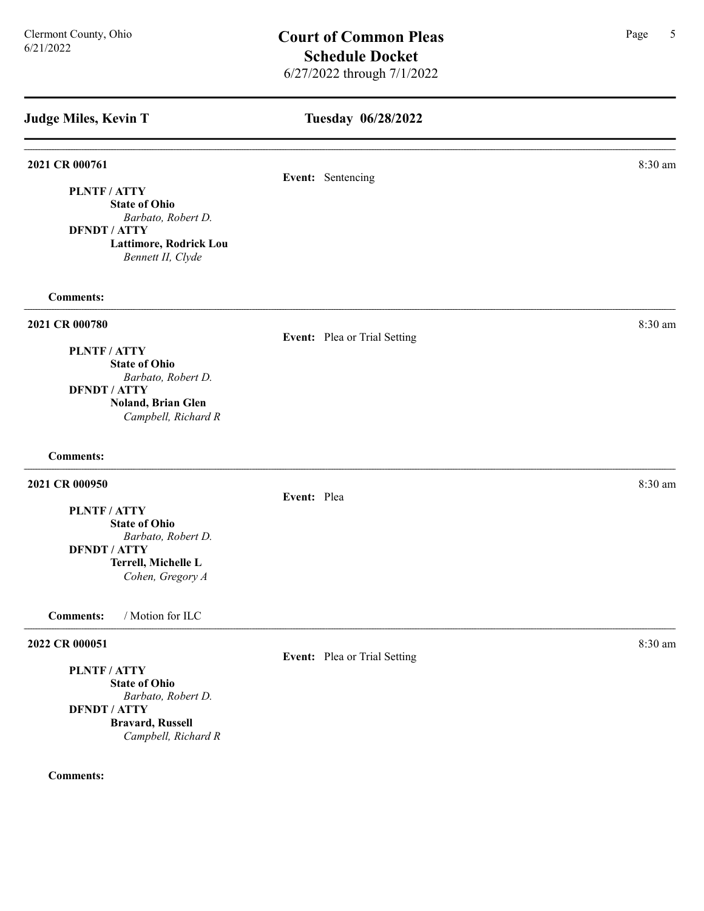#### Tuesday 06/28/2022

# **2021 CR 000761** 8:30 am **8.30 am** Event: Sentencing PLNTF / ATTY State of Ohio Barbato, Robert D. DFNDT / ATTY Lattimore, Rodrick Lou Bennett II, Clyde Comments: 2021 CR 000780 8:30 am 8:30 am Event: Plea or Trial Setting PLNTF / ATTY State of Ohio Barbato, Robert D. DFNDT / ATTY Noland, Brian Glen Campbell, Richard R Comments: **2021 CR 000950** 8:30 am **8:30 am** Event: Plea PLNTF / ATTY State of Ohio Barbato, Robert D. DFNDT / ATTY Terrell, Michelle L Cohen, Gregory A Comments: / Motion for ILC 2022 CR 000051 8:30 am 2022 CR 000051 Event: Plea or Trial Setting PLNTF / ATTY State of Ohio Barbato, Robert D. DFNDT / ATTY Bravard, Russell Campbell, Richard R Comments: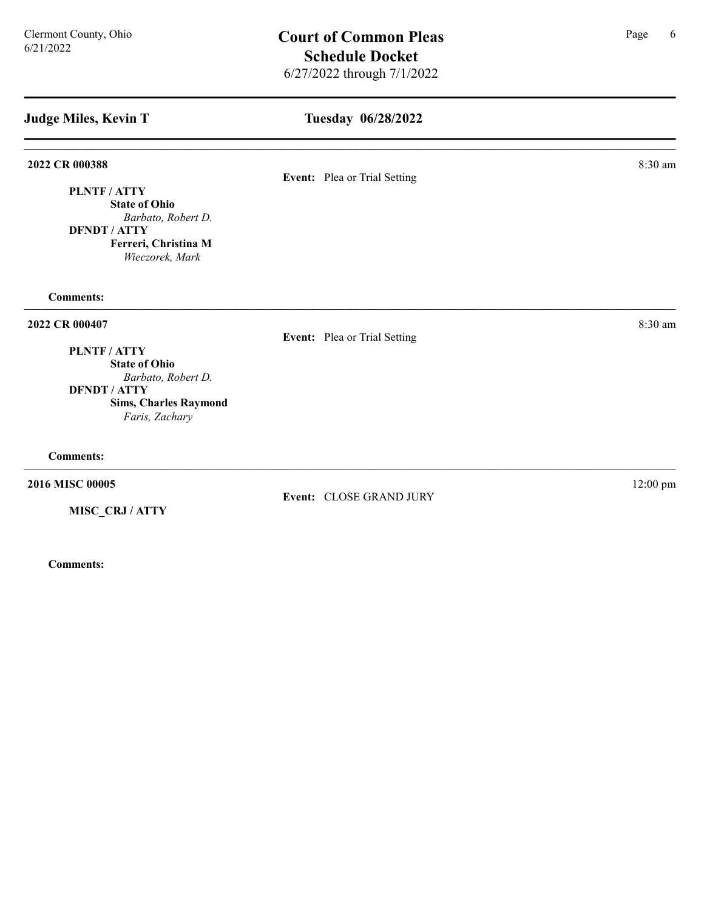PLNTF / ATTY

State of Ohio

### Tuesday 06/28/2022

2022 CR 000388 8:30 am Event: Plea or Trial Setting

Event: CLOSE GRAND JURY

| Barbato, Robert D.<br><b>DFNDT / ATTY</b> |                              |            |
|-------------------------------------------|------------------------------|------------|
| Ferreri, Christina M                      |                              |            |
| Wieczorek, Mark                           |                              |            |
| <b>Comments:</b>                          |                              |            |
| 2022 CR 000407                            |                              | 8:30 am    |
|                                           | Event: Plea or Trial Setting |            |
| PLNTF / ATTY                              |                              |            |
| <b>State of Ohio</b>                      |                              |            |
| Barbato, Robert D.                        |                              |            |
| <b>DFNDT / ATTY</b>                       |                              |            |
| <b>Sims, Charles Raymond</b>              |                              |            |
| Faris, Zachary                            |                              |            |
| <b>Comments:</b>                          |                              |            |
| 2016 MISC 00005                           |                              | $12:00$ pm |

MISC\_CRJ / ATTY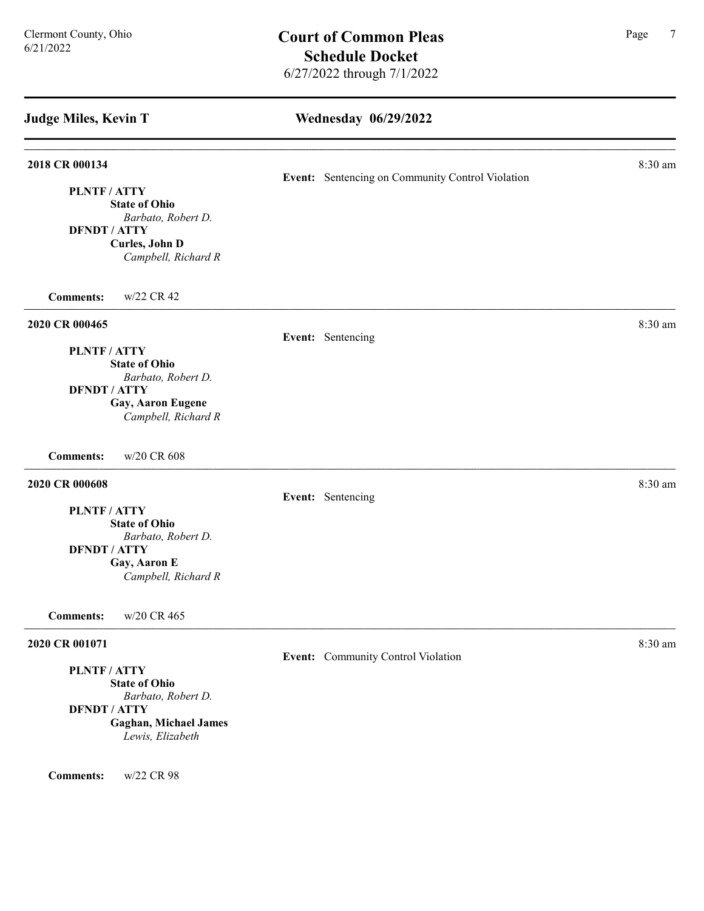Wednesday 06/29/2022 Judge Miles, Kevin T **2018 CR 000134** 8:30 am **8.30 am** Event: Sentencing on Community Control Violation PLNTF / ATTY State of Ohio Barbato, Robert D. DFNDT / ATTY Curles, John D Campbell, Richard R Comments: w/22 CR 42 **2020 CR 000465** 8:30 am **8:30 am** Event: Sentencing PLNTF / ATTY State of Ohio Barbato, Robert D. DFNDT / ATTY Gay, Aaron Eugene Campbell, Richard R Comments: w/20 CR 608 **2020 CR 000608** 8:30 am **8:30 am** Event: Sentencing PLNTF / ATTY State of Ohio Barbato, Robert D. DFNDT / ATTY Gay, Aaron E Campbell, Richard R Comments: w/20 CR 465 **2020 CR 001071** 8:30 am **8.30 am** Event: Community Control Violation PLNTF / ATTY State of Ohio Barbato, Robert D. DFNDT / ATTY Gaghan, Michael James Lewis, Elizabeth Comments: w/22 CR 98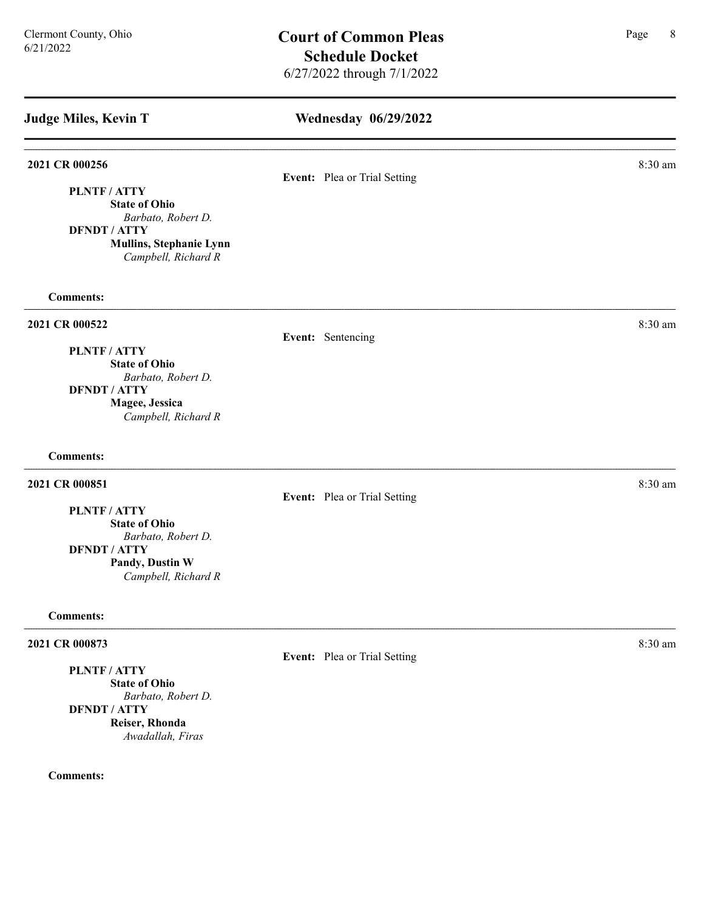### Wednesday 06/29/2022

# 2021 CR 000256 8:30 am **8** Event: Plea or Trial Setting PLNTF / ATTY State of Ohio Barbato, Robert D. DFNDT / ATTY Mullins, Stephanie Lynn Campbell, Richard R Comments: 2021 CR 000522 8:30 am Event: Sentencing PLNTF / ATTY State of Ohio Barbato, Robert D. DFNDT / ATTY Magee, Jessica Campbell, Richard R Comments: **2021 CR 000851** 8:30 am **8:30 am** Event: Plea or Trial Setting PLNTF / ATTY State of Ohio Barbato, Robert D. DFNDT / ATTY Pandy, Dustin W Campbell, Richard R Comments: 2021 CR 000873 8:30 am and 2021 CR 000873 Event: Plea or Trial Setting PLNTF / ATTY

State of Ohio Barbato, Robert D. DFNDT / ATTY Reiser, Rhonda Awadallah, Firas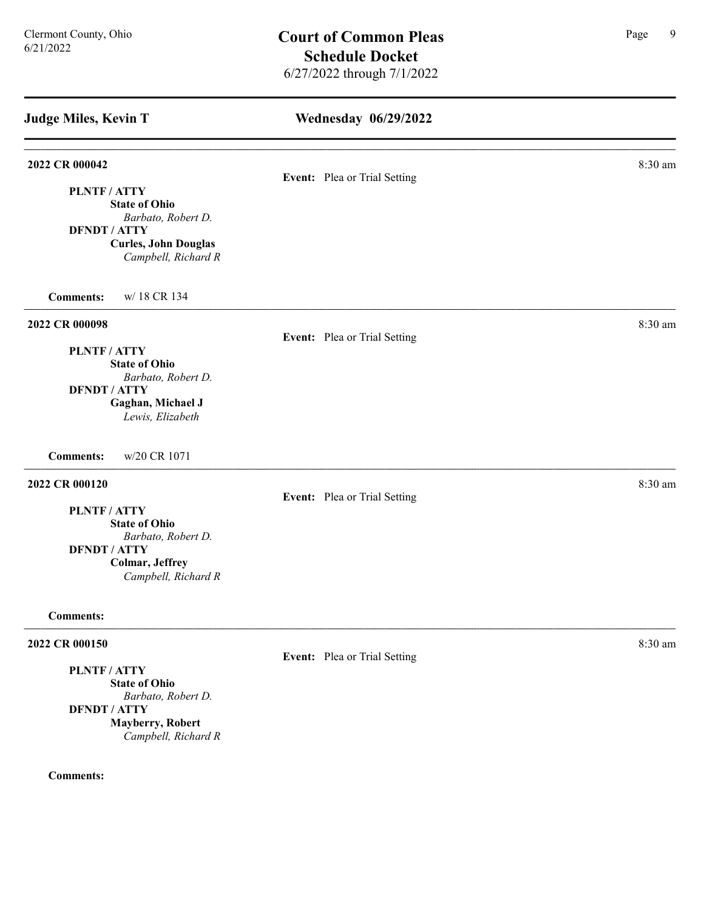| <b>Judge Miles, Kevin T</b>                                                                                                | <b>Wednesday 06/29/2022</b>  |         |  |  |
|----------------------------------------------------------------------------------------------------------------------------|------------------------------|---------|--|--|
| 2022 CR 000042<br>PLNTF / ATTY                                                                                             | Event: Plea or Trial Setting | 8:30 am |  |  |
| <b>State of Ohio</b><br>Barbato, Robert D.<br><b>DFNDT / ATTY</b><br><b>Curles, John Douglas</b><br>Campbell, Richard R    |                              |         |  |  |
| w/18 CR 134<br><b>Comments:</b>                                                                                            |                              |         |  |  |
| 2022 CR 000098                                                                                                             | Event: Plea or Trial Setting | 8:30 am |  |  |
| PLNTF / ATTY<br><b>State of Ohio</b><br>Barbato, Robert D.<br><b>DFNDT / ATTY</b><br>Gaghan, Michael J<br>Lewis, Elizabeth |                              |         |  |  |
| w/20 CR 1071<br><b>Comments:</b>                                                                                           |                              |         |  |  |
| 2022 CR 000120<br>PLNTF / ATTY                                                                                             | Event: Plea or Trial Setting | 8:30 am |  |  |
| <b>State of Ohio</b><br>Barbato, Robert D.<br><b>DFNDT / ATTY</b><br>Colmar, Jeffrey<br>Campbell, Richard R                |                              |         |  |  |
| <b>Comments:</b>                                                                                                           |                              |         |  |  |
| 2022 CR 000150                                                                                                             | Event: Plea or Trial Setting | 8:30 am |  |  |
| PLNTF / ATTY<br><b>State of Ohio</b><br>Barbato, Robert D.                                                                 |                              |         |  |  |
| <b>DFNDT / ATTY</b><br><b>Mayberry, Robert</b><br>Campbell, Richard R                                                      |                              |         |  |  |
| <b>Comments:</b>                                                                                                           |                              |         |  |  |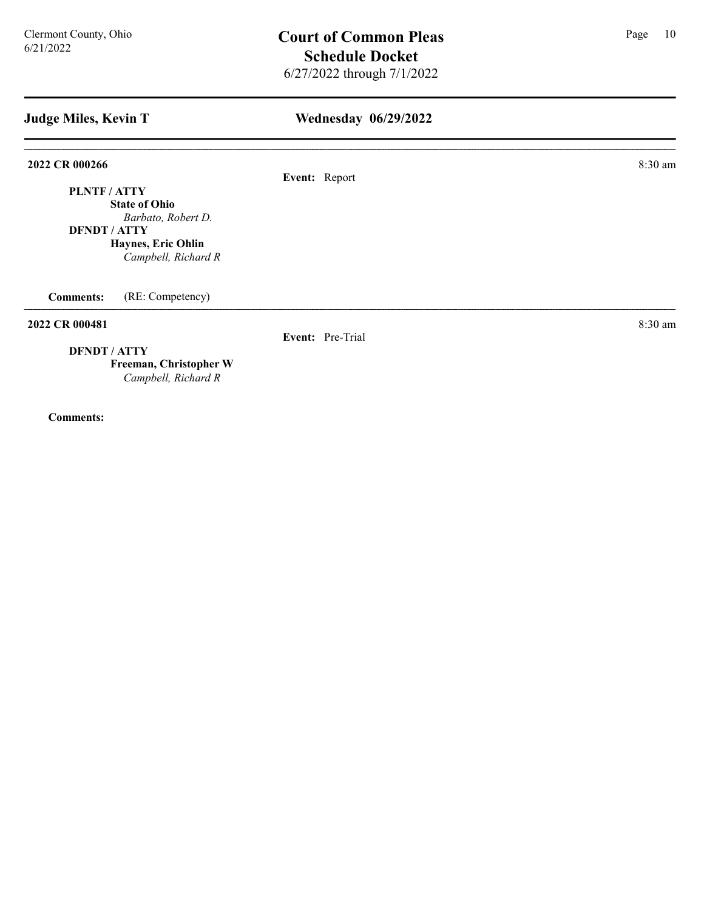### Wednesday 06/29/2022

2022 CR 000266 8:30 am

Event: Report

PLNTF / ATTY State of Ohio Barbato, Robert D.

DFNDT / ATTY Haynes, Eric Ohlin

Campbell, Richard R

Comments: (RE: Competency)

#### **2022 CR 000481** 8:30 am **8:30 am**

Event: Pre-Trial

DFNDT / ATTY

Freeman, Christopher W Campbell, Richard R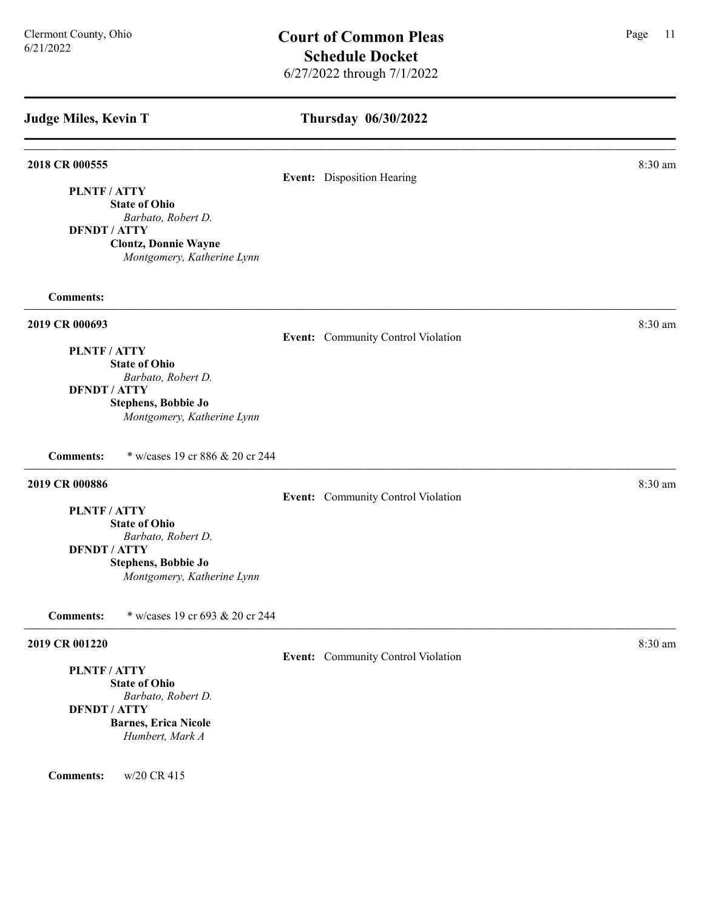### Thursday 06/30/2022

#### **2018 CR 000555** 8:30 am **8:30 am**

#### Event: Disposition Hearing

PLNTF / ATTY State of Ohio

Barbato, Robert D.

DFNDT / ATTY

Clontz, Donnie Wayne Montgomery, Katherine Lynn

Comments:

#### 2019 CR 000693 8:30 am

Event: Community Control Violation

#### PLNTF / ATTY

State of Ohio Barbato, Robert D.

### DFNDT / ATTY

Stephens, Bobbie Jo Montgomery, Katherine Lynn

Comments: \* w/cases 19 cr 886 & 20 cr 244

### **2019 CR 000886** 8:30 am **8:30 am**

Event: Community Control Violation

PLNTF / ATTY

State of Ohio Barbato, Robert D.

### DFNDT / ATTY

Stephens, Bobbie Jo Montgomery, Katherine Lynn

Comments: \* w/cases 19 cr 693 & 20 cr 244

#### **2019 CR 001220** 8:30 am **8.30 am**

### PLNTF / ATTY

State of Ohio Barbato, Robert D. DFNDT / ATTY Barnes, Erica Nicole Humbert, Mark A

Comments: w/20 CR 415

#### Event: Community Control Violation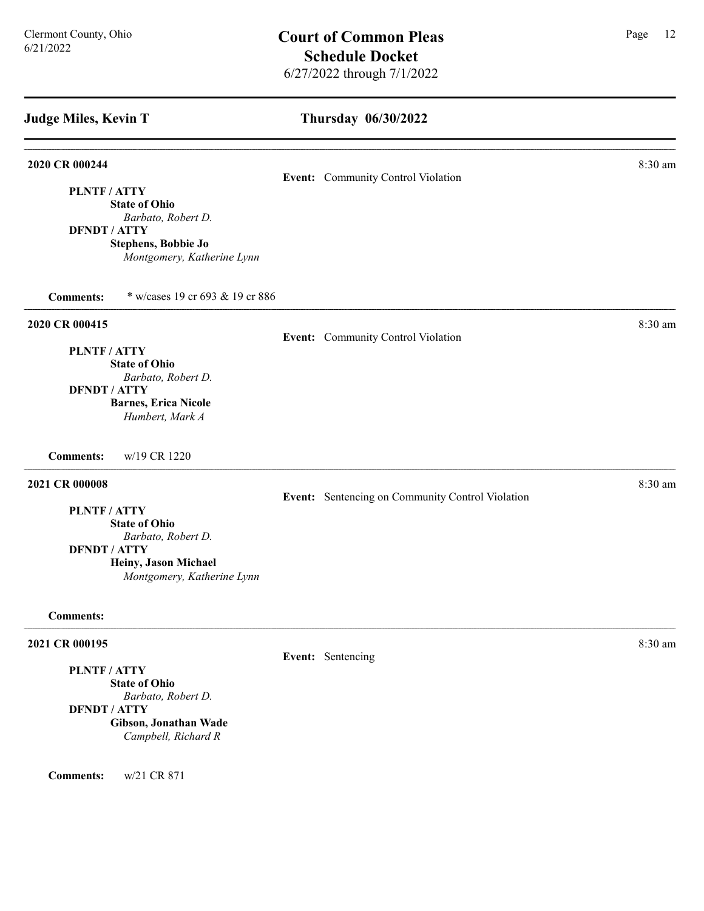#### Thursday 06/30/2022

# **2020 CR 000244** 8:30 am **8.30 am** Event: Community Control Violation PLNTF / ATTY State of Ohio Barbato, Robert D. DFNDT / ATTY Stephens, Bobbie Jo Montgomery, Katherine Lynn Comments: \* w/cases 19 cr 693 & 19 cr 886 **2020 CR 000415** 8:30 am **8.30 am** Event: Community Control Violation PLNTF / ATTY State of Ohio Barbato, Robert D. DFNDT / ATTY Barnes, Erica Nicole Humbert, Mark A Comments: w/19 CR 1220 **2021 CR 000008** 8:30 am **8:30 am** Event: Sentencing on Community Control Violation PLNTF / ATTY State of Ohio Barbato, Robert D. DFNDT / ATTY Heiny, Jason Michael Montgomery, Katherine Lynn Comments: **2021 CR 000195** 8:30 am **8:30 am** Event: Sentencing PLNTF / ATTY State of Ohio Barbato, Robert D. DFNDT / ATTY

Gibson, Jonathan Wade Campbell, Richard R

Comments: w/21 CR 871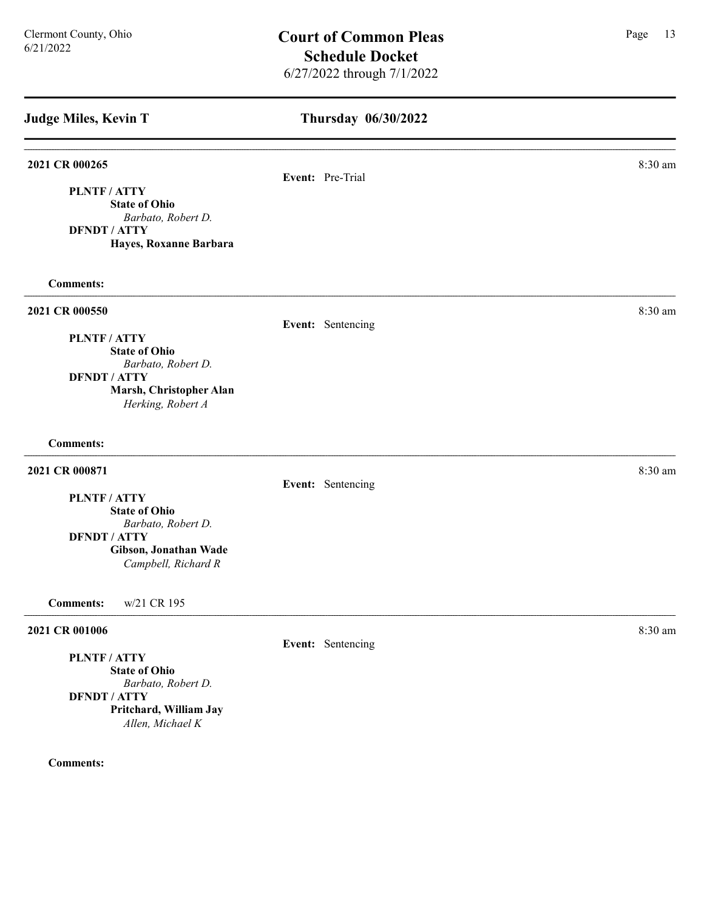# Thursday 06/30/2022 Judge Miles, Kevin T 2021 CR 000265 8:30 am Event: Pre-Trial PLNTF / ATTY State of Ohio Barbato, Robert D. DFNDT / ATTY Hayes, Roxanne Barbara Comments: 2021 CR 000550 8:30 am Event: Sentencing PLNTF / ATTY State of Ohio Barbato, Robert D. DFNDT / ATTY Marsh, Christopher Alan Herking, Robert A Comments: **2021 CR 000871** 8:30 am **8:30 am** Event: Sentencing PLNTF / ATTY State of Ohio Barbato, Robert D. DFNDT / ATTY Gibson, Jonathan Wade Campbell, Richard R Comments: w/21 CR 195 **2021 CR 001006** 8:30 am **8** Event: Sentencing PLNTF / ATTY State of Ohio Barbato, Robert D. DFNDT / ATTY Pritchard, William Jay Allen, Michael K Comments: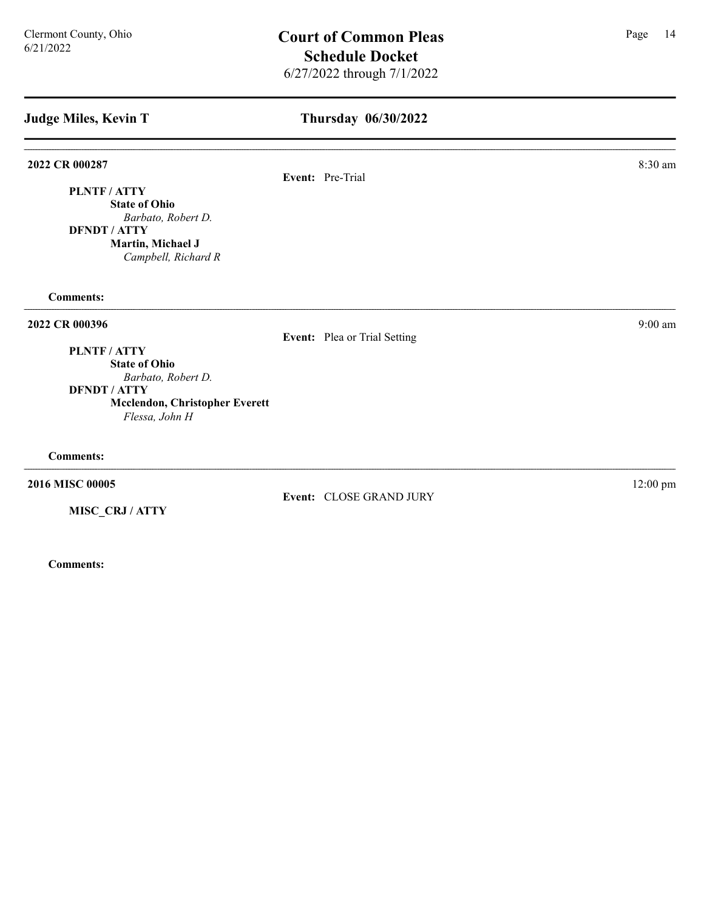### Thursday 06/30/2022

#### 2022 CR 000287 8:30 am

PLNTF / ATTY State of Ohio

DFNDT / ATTY Martin, Michael J

Comments:

#### 2022 CR 000396 9:00 am 2022 CR 000396

Event: Plea or Trial Setting

Event: CLOSE GRAND JURY

PLNTF / ATTY

State of Ohio Barbato, Robert D. DFNDT / ATTY

Mcclendon, Christopher Everett Flessa, John H

Comments:

2016 MISC 00005 12:00 pm

MISC\_CRJ / ATTY

Comments:

Barbato, Robert D.

Campbell, Richard R

Event: Pre-Trial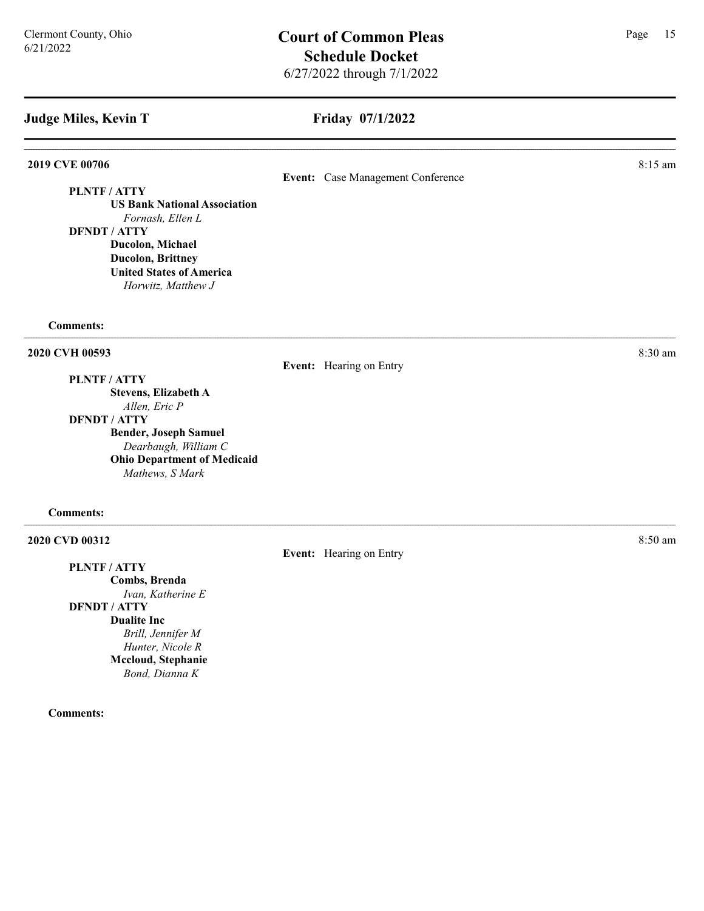PLNTF / ATTY

#### Friday 07/1/2022

**2019 CVE 00706** 8:15 am **8:16** 

Event: Case Management Conference

US Bank National Association Fornash, Ellen L DFNDT / ATTY Ducolon, Michael Ducolon, Brittney United States of America Horwitz, Matthew J

Comments:

#### 2020 CVH 00593 8:30 am

Event: Hearing on Entry

PLNTF / ATTY Stevens, Elizabeth A Allen, Eric P

DFNDT / ATTY

Bender, Joseph Samuel Dearbaugh, William C Ohio Department of Medicaid Mathews, S Mark

Comments:

#### **2020 CVD 00312** 8:50 am **8.12**

PLNTF / ATTY Combs, Brenda Ivan, Katherine E DFNDT / ATTY Dualite Inc Brill, Jennifer M Hunter, Nicole R Mccloud, Stephanie Bond, Dianna K

Comments:

Event: Hearing on Entry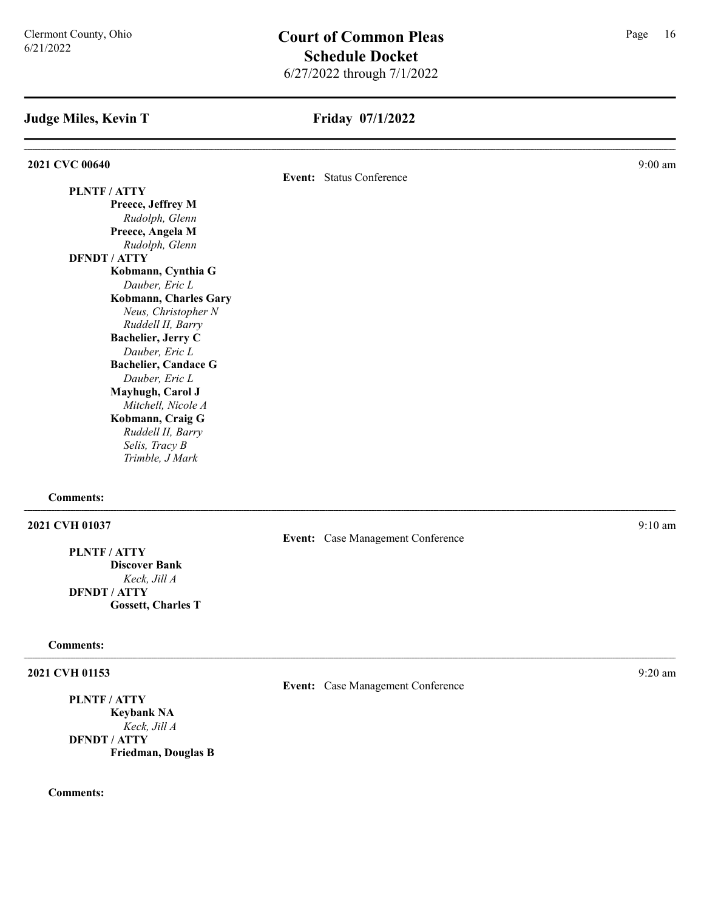### Friday 07/1/2022

| 2021 CVC 00640 |                             |                          | $9:00$ am |
|----------------|-----------------------------|--------------------------|-----------|
|                |                             | Event: Status Conference |           |
|                | PLNTF / ATTY                |                          |           |
|                | Preece, Jeffrey M           |                          |           |
|                | Rudolph, Glenn              |                          |           |
|                | Preece, Angela M            |                          |           |
|                | Rudolph, Glenn              |                          |           |
|                | <b>DFNDT / ATTY</b>         |                          |           |
|                | Kobmann, Cynthia G          |                          |           |
|                | Dauber, Eric L              |                          |           |
|                | Kobmann, Charles Gary       |                          |           |
|                | Neus, Christopher N         |                          |           |
|                | Ruddell II, Barry           |                          |           |
|                | <b>Bachelier, Jerry C</b>   |                          |           |
|                | Dauber, Eric L              |                          |           |
|                | <b>Bachelier, Candace G</b> |                          |           |
|                | Dauber, Eric L              |                          |           |
|                | Mayhugh, Carol J            |                          |           |
|                | Mitchell, Nicole A          |                          |           |
|                | Kobmann, Craig G            |                          |           |
|                | Ruddell II, Barry           |                          |           |
|                | Selis, Tracy B              |                          |           |
|                | Trimble, J Mark             |                          |           |
|                |                             |                          |           |

#### Comments:

#### 2021 CVH 01037 9:10 am

### PLNTF / ATTY Discover Bank

Keck, Jill A DFNDT / ATTY Gossett, Charles T

### Comments:

### 2021 CVH 01153 9:20 am

PLNTF / ATTY

Keybank NA Keck, Jill A DFNDT / ATTY Friedman, Douglas B

#### Comments:

Event: Case Management Conference

### Event: Case Management Conference